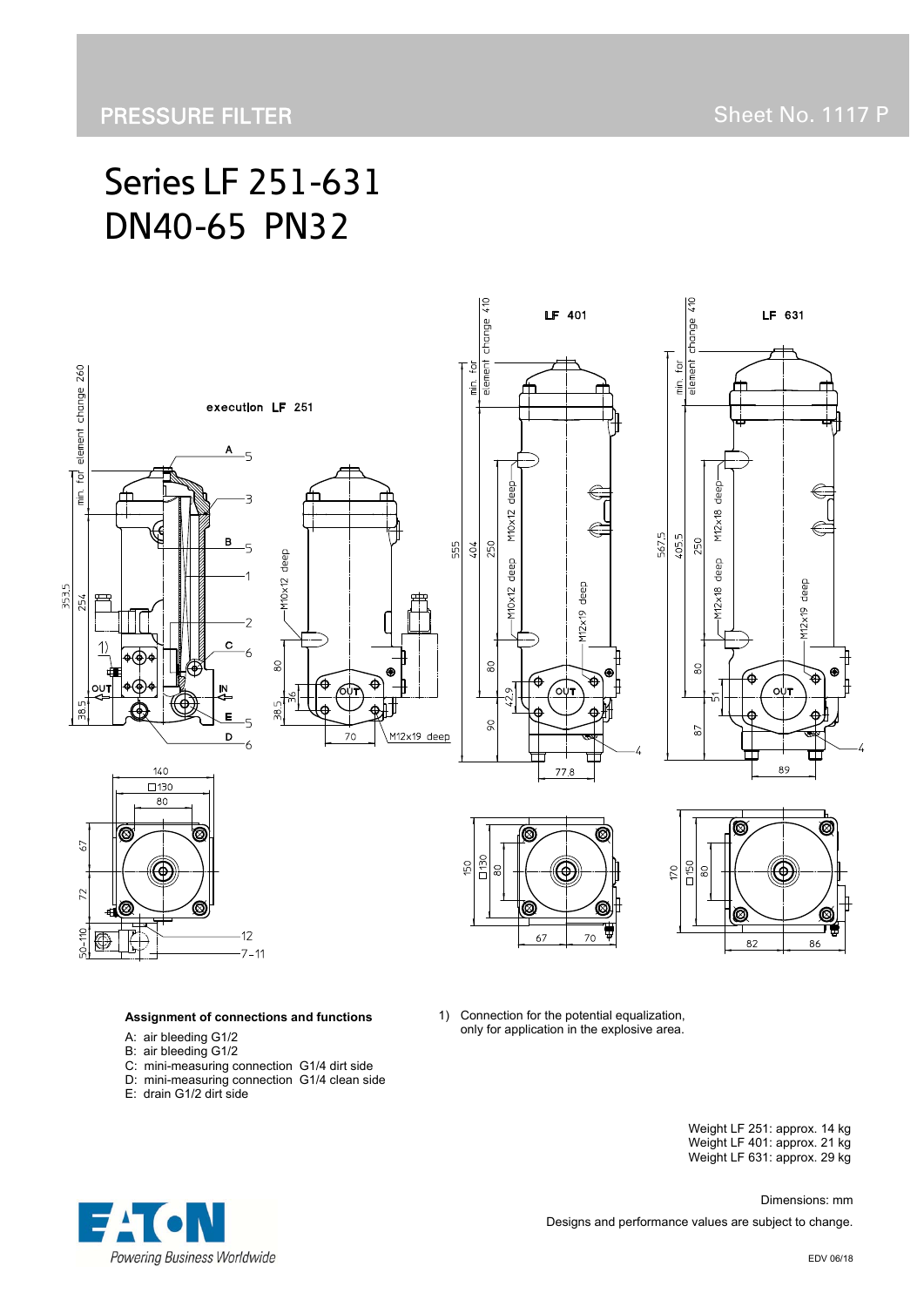# Series LF 251-631 DN40-65 PN32



#### **Assignment of connections and functions**

- A: air bleeding G1/2
- B: air bleeding G1/2
- C: mini-measuring connection G1/4 dirt side
- D: mini-measuring connection G1/4 clean side
- E: drain G1/2 dirt side

 Weight LF 251: approx. 14 kg Weight LF 401: approx. 21 kg Weight LF 631: approx. 29 kg



 Dimensions: mm Designs and performance values are subject to change.

only for application in the explosive area.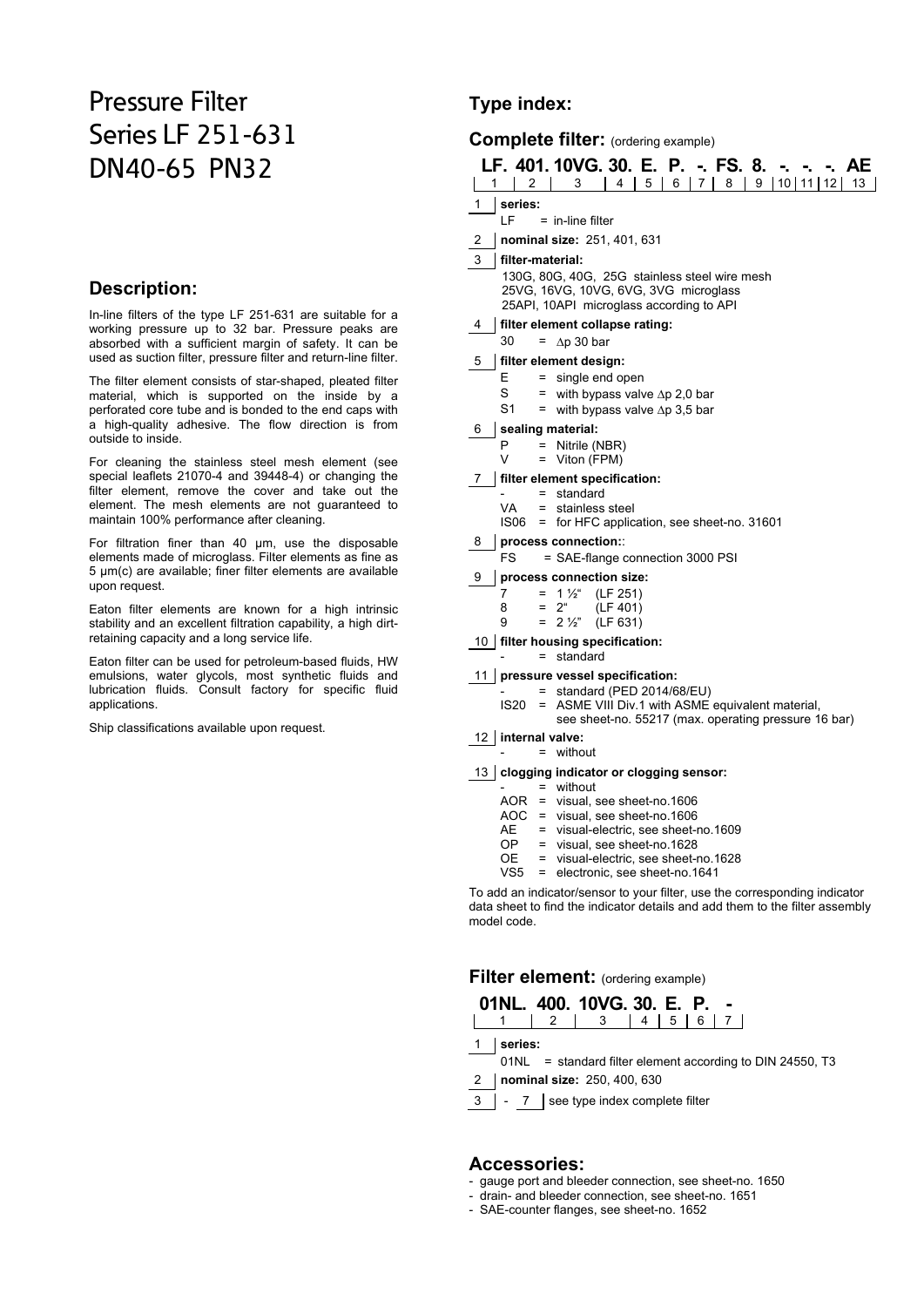## Pressure Filter Series LF 251-631 DN40-65 PN32

#### **Description:**

In-line filters of the type LF 251-631 are suitable for a working pressure up to 32 bar. Pressure peaks are absorbed with a sufficient margin of safety. It can be used as suction filter, pressure filter and return-line filter.

The filter element consists of star-shaped, pleated filter material, which is supported on the inside by a perforated core tube and is bonded to the end caps with a high-quality adhesive. The flow direction is from outside to inside.

For cleaning the stainless steel mesh element (see special leaflets 21070-4 and 39448-4) or changing the filter element, remove the cover and take out the element. The mesh elements are not guaranteed to maintain 100% performance after cleaning.

For filtration finer than 40 μm, use the disposable elements made of microglass. Filter elements as fine as 5 μm(c) are available; finer filter elements are available upon request.

Eaton filter elements are known for a high intrinsic stability and an excellent filtration capability, a high dirtretaining capacity and a long service life.

Eaton filter can be used for petroleum-based fluids, HW emulsions, water glycols, most synthetic fluids and lubrication fluids. Consult factory for specific fluid applications.

Ship classifications available upon request.

#### **Type index:**

### **Complete filter:** (ordering example)

| CONDICIATION (ordering example) |                                                                                                                                    |                                                                                                                                |  |  |  |  |  |  |  |
|---------------------------------|------------------------------------------------------------------------------------------------------------------------------------|--------------------------------------------------------------------------------------------------------------------------------|--|--|--|--|--|--|--|
| 1                               | 2                                                                                                                                  | LF. 401.10VG. 30. E. P. -. FS. 8.<br>AE<br>5<br>9<br>10 <sup>1</sup><br>4<br>8<br>11 <sup>1</sup><br>3<br>6<br>12 I<br>13<br>7 |  |  |  |  |  |  |  |
| 1                               | series:                                                                                                                            |                                                                                                                                |  |  |  |  |  |  |  |
|                                 | LF                                                                                                                                 | $=$ in-line filter                                                                                                             |  |  |  |  |  |  |  |
| 2                               |                                                                                                                                    | nominal size: 251, 401, 631                                                                                                    |  |  |  |  |  |  |  |
| 3                               | filter-material:                                                                                                                   |                                                                                                                                |  |  |  |  |  |  |  |
|                                 | 130G, 80G, 40G, 25G stainless steel wire mesh<br>25VG, 16VG, 10VG, 6VG, 3VG microglass<br>25API, 10API microglass according to API |                                                                                                                                |  |  |  |  |  |  |  |
| 4                               |                                                                                                                                    | filter element collapse rating:                                                                                                |  |  |  |  |  |  |  |
|                                 | 30                                                                                                                                 | $\Delta p$ 30 bar<br>=                                                                                                         |  |  |  |  |  |  |  |
| 5                               |                                                                                                                                    | filter element design:                                                                                                         |  |  |  |  |  |  |  |
|                                 | E                                                                                                                                  | single end open<br>$=$                                                                                                         |  |  |  |  |  |  |  |
|                                 | S<br>S1                                                                                                                            | = with bypass valve $\Delta p$ 2,0 bar                                                                                         |  |  |  |  |  |  |  |
|                                 |                                                                                                                                    | = with bypass valve $\Delta p$ 3,5 bar                                                                                         |  |  |  |  |  |  |  |
| 6                               | sealing material:<br>P<br>Nitrile (NBR)<br>=                                                                                       |                                                                                                                                |  |  |  |  |  |  |  |
|                                 | v                                                                                                                                  | Viton (FPM)<br>$=$                                                                                                             |  |  |  |  |  |  |  |
| 7                               |                                                                                                                                    | filter element specification:                                                                                                  |  |  |  |  |  |  |  |
|                                 | standard<br>$=$                                                                                                                    |                                                                                                                                |  |  |  |  |  |  |  |
|                                 | VA<br>IS <sub>06</sub>                                                                                                             | stainless steel<br>$=$<br>= for HFC application, see sheet-no. 31601                                                           |  |  |  |  |  |  |  |
| 8                               |                                                                                                                                    | process connection::                                                                                                           |  |  |  |  |  |  |  |
|                                 | <b>FS</b>                                                                                                                          | = SAE-flange connection 3000 PSI                                                                                               |  |  |  |  |  |  |  |
| 9                               |                                                                                                                                    | process connection size:                                                                                                       |  |  |  |  |  |  |  |
|                                 | 7                                                                                                                                  | $1\frac{1}{2}$<br>(LF 251)<br>$=$                                                                                              |  |  |  |  |  |  |  |
|                                 | 8                                                                                                                                  | 2 <sup>u</sup><br>(LF 401)<br>$=$                                                                                              |  |  |  |  |  |  |  |
|                                 | 9                                                                                                                                  | $= 2\frac{1}{2}$<br>(LF 631)                                                                                                   |  |  |  |  |  |  |  |
|                                 |                                                                                                                                    | 10   filter housing specification:<br>standard<br>$=$                                                                          |  |  |  |  |  |  |  |
| 11                              |                                                                                                                                    | pressure vessel specification:                                                                                                 |  |  |  |  |  |  |  |
|                                 |                                                                                                                                    | standard (PED 2014/68/EU)<br>$=$                                                                                               |  |  |  |  |  |  |  |
|                                 | IS20                                                                                                                               | = ASME VIII Div.1 with ASME equivalent material,<br>see sheet-no. 55217 (max. operating pressure 16 bar)                       |  |  |  |  |  |  |  |
|                                 | $12$ internal value:                                                                                                               |                                                                                                                                |  |  |  |  |  |  |  |

12 **internal valve:**   $=$  without

13 **clogging indicator or clogging sensor:**

- = without
- AOR = visual, see sheet-no.1606
	- AOC = visual, see sheet-no.1606
- AE = visual-electric, see sheet-no.1609
- OP = visual, see sheet-no.1628
	- OE = visual-electric, see sheet-no.1628
	- VS5 = electronic, see sheet-no.1641

To add an indicator/sensor to your filter, use the corresponding indicator data sheet to find the indicator details and add them to the filter assembly model code.

#### **Filter element:** (ordering example)

| 01NL, 400, 10VG, 30, E, P, - |             |  |  |  |
|------------------------------|-------------|--|--|--|
|                              | 2 3 4 5 6 7 |  |  |  |

1 **series:**

01NL = standard filter element according to DIN 24550, T3

2 **nominal size:** 250, 400, 630

3 | - 7 | see type index complete filter

#### **Accessories:**

- gauge port and bleeder connection, see sheet-no. 1650
- drain- and bleeder connection, see sheet-no. 1651
- SAE-counter flanges, see sheet-no. 1652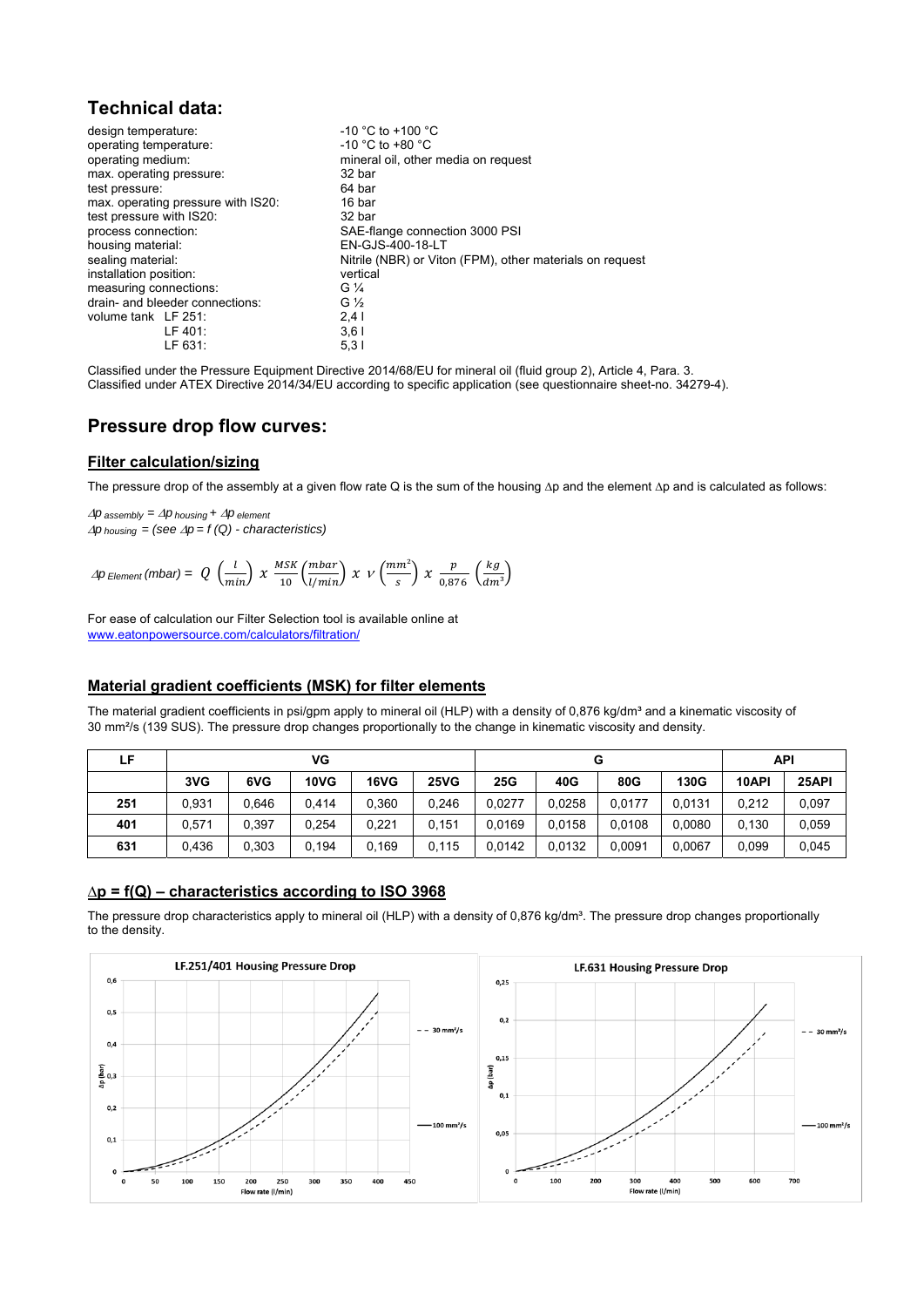#### **Technical data:**

| design temperature:                | $-10$ °C to $+100$ °C                                    |
|------------------------------------|----------------------------------------------------------|
| operating temperature:             | $-10$ °C to +80 °C                                       |
| operating medium:                  | mineral oil, other media on request                      |
| max. operating pressure:           | 32 bar                                                   |
| test pressure:                     | 64 bar                                                   |
| max. operating pressure with IS20: | 16 bar                                                   |
| test pressure with IS20:           | 32 bar                                                   |
| process connection:                | SAE-flange connection 3000 PSI                           |
| housing material:                  | EN-GJS-400-18-LT                                         |
| sealing material:                  | Nitrile (NBR) or Viton (FPM), other materials on request |
| installation position:             | vertical                                                 |
| measuring connections:             | $G\frac{1}{4}$                                           |
| drain- and bleeder connections:    | G $\frac{1}{2}$                                          |
| volume tank LF 251:                | 2.41                                                     |
| LF 401:                            | 3,61                                                     |
| LF 631:                            | 5,31                                                     |

Classified under the Pressure Equipment Directive 2014/68/EU for mineral oil (fluid group 2), Article 4, Para. 3. Classified under ATEX Directive 2014/34/EU according to specific application (see questionnaire sheet-no. 34279-4).

#### **Pressure drop flow curves:**

#### **Filter calculation/sizing**

The pressure drop of the assembly at a given flow rate Q is the sum of the housing ∆p and the element ∆p and is calculated as follows:

 $\Delta p$  *assembly* =  $\Delta p$  *housing* +  $\Delta p$  *element*  $\Delta p$  *housing* = (see  $\Delta p$  = f (Q) - characteristics)

$$
\Delta p_{Element}(mbar) = Q\,\left(\frac{l}{min}\right)\, \chi\,\, \frac{MSK}{10}\!\left(\frac{mbar}{l/min}\right)\, \chi\,\, \nu\left(\frac{mm^2}{s}\right)\, \chi\,\, \frac{p}{0.876}\,\left(\frac{kg}{dm^3}\right)
$$

For ease of calculation our Filter Selection tool is available online at www.eatonpowersource.com/calculators/filtration/

#### **Material gradient coefficients (MSK) for filter elements**

The material gradient coefficients in psi/gpm apply to mineral oil (HLP) with a density of 0,876 kg/dm<sup>3</sup> and a kinematic viscosity of 30 mm²/s (139 SUS). The pressure drop changes proportionally to the change in kinematic viscosity and density.

| ιF. | VG    |       |       |       |             | G      |        |        |        | API   |       |  |
|-----|-------|-------|-------|-------|-------------|--------|--------|--------|--------|-------|-------|--|
|     | 3VG   | 6VG   | 10VG  | 16VG  | <b>25VG</b> | 25G    | 40G    | 80G    | 130G   | 10API | 25API |  |
| 251 | 0.931 | 0.646 | 0.414 | 0.360 | 0.246       | 0.0277 | 0.0258 | 0.0177 | 0.0131 | 0.212 | 0,097 |  |
| 401 | 0.571 | 0.397 | 0.254 | 0.221 | 0.151       | 0.0169 | 0.0158 | 0.0108 | 0.0080 | 0.130 | 0,059 |  |
| 631 | 0,436 | 0,303 | 0.194 | 0.169 | 0,115       | 0.0142 | 0,0132 | 0.0091 | 0.0067 | 0.099 | 0,045 |  |

#### **∆p = f(Q) – characteristics according to ISO 3968**

The pressure drop characteristics apply to mineral oil (HLP) with a density of 0,876 kg/dm<sup>3</sup>. The pressure drop changes proportionally to the density.